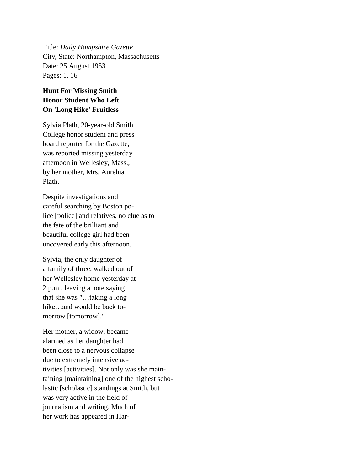Title: *Daily Hampshire Gazette* City, State: Northampton, Massachusetts Date: 25 August 1953 Pages: 1, 16

## **Hunt For Missing Smith Honor Student Who Left On 'Long Hike' Fruitless**

Sylvia Plath, 20-year-old Smith College honor student and press board reporter for the Gazette, was reported missing yesterday afternoon in Wellesley, Mass., by her mother, Mrs. Aurelua Plath.

Despite investigations and careful searching by Boston police [police] and relatives, no clue as to the fate of the brilliant and beautiful college girl had been uncovered early this afternoon.

Sylvia, the only daughter of a family of three, walked out of her Wellesley home yesterday at 2 p.m., leaving a note saying that she was "…taking a long hike…and would be back tomorrow [tomorrow]."

Her mother, a widow, became alarmed as her daughter had been close to a nervous collapse due to extremely intensive activities [activities]. Not only was she maintaining [maintaining] one of the highest scholastic [scholastic] standings at Smith, but was very active in the field of journalism and writing. Much of her work has appeared in Har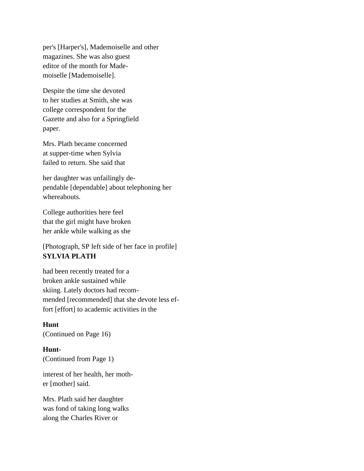per's [Harper's], Mademoiselle and other magazines. She was also guest editor of the month for Mademoiselle [Mademoiselle].

Despite the time she devoted to her studies at Smith, she was college correspondent for the Gazette and also for a Springfield paper.

Mrs. Plath became concerned at supper-time when Sylvia failed to return. She said that

her daughter was unfailingly dependable [dependable] about telephoning her whereabouts.

College authorities here feel that the girl might have broken her ankle while walking as she

[Photograph, SP left side of her face in profile] **SYLVIA PLATH**

had been recently treated for a broken ankle sustained while skiing. Lately doctors had recommended [recommended] that she devote less effort [effort] to academic activities in the

## **Hunt** (Continued on Page 16)

**Hunt-** (Continued from Page 1)

interest of her health, her mother [mother] said.

Mrs. Plath said her daughter was fond of taking long walks along the Charles River or